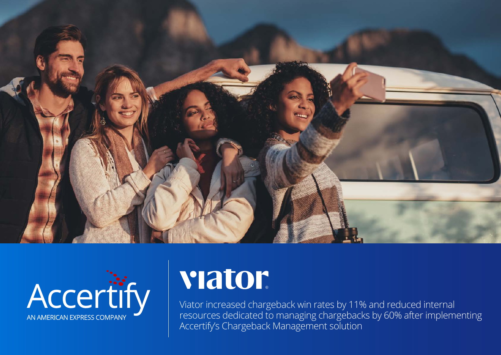



# viator

Viator increased chargeback win rates by 11% and reduced internal resources dedicated to managing chargebacks by 60% after implementing Accertify's Chargeback Management solution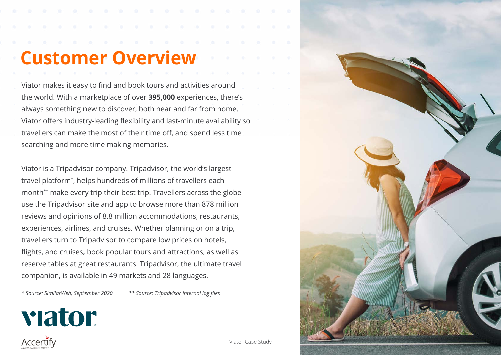## **Customer Overview**

Viator makes it easy to find and book tours and activities around the world. With a marketplace of over **395,000** experiences, there's always something new to discover, both near and far from home. Viator offers industry-leading flexibility and last-minute availability so travellers can make the most of their time off, and spend less time searching and more time making memories.

Viator is a Tripadvisor company. Tripadvisor, the world's largest travel platform\* , helps hundreds of millions of travellers each month\*\* make every trip their best trip. Travellers across the globe use the Tripadvisor site and app to browse more than 878 million reviews and opinions of 8.8 million accommodations, restaurants, experiences, airlines, and cruises. Whether planning or on a trip, travellers turn to Tripadvisor to compare low prices on hotels, flights, and cruises, book popular tours and attractions, as well as reserve tables at great restaurants. Tripadvisor, the ultimate travel companion, is available in 49 markets and 28 languages.

*\* Source: SimilarWeb, September 2020 \*\* Source: Tripadvisor internal log files*

viator



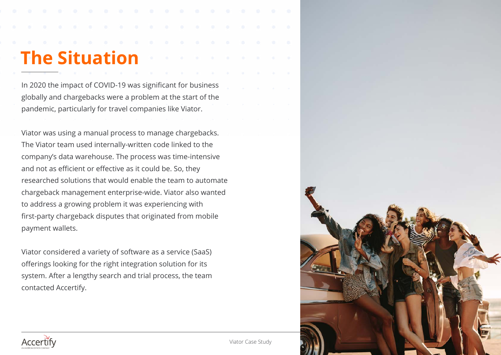# **The Situation**

In 2020 the impact of COVID-19 was significant for business globally and chargebacks were a problem at the start of the pandemic, particularly for travel companies like Viator.

Viator was using a manual process to manage chargebacks. The Viator team used internally-written code linked to the company's data warehouse. The process was time-intensive and not as efficient or effective as it could be. So, they researched solutions that would enable the team to automate chargeback management enterprise-wide. Viator also wanted to address a growing problem it was experiencing with first-party chargeback disputes that originated from mobile payment wallets.

Viator considered a variety of software as a service (SaaS) offerings looking for the right integration solution for its system. After a lengthy search and trial process, the team contacted Accertify.



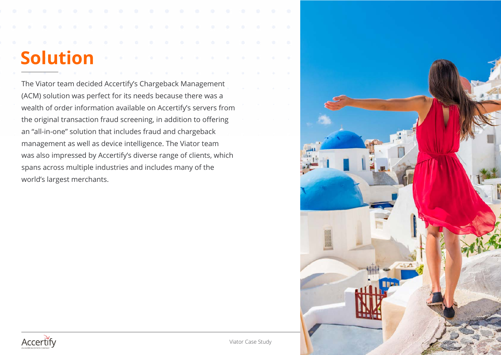# **Solution**

The Viator team decided Accertify's Chargeback Management (ACM) solution was perfect for its needs because there was a wealth of order information available on Accertify's servers from the original transaction fraud screening, in addition to offering an "all-in-one" solution that includes fraud and chargeback management as well as device intelligence. The Viator team was also impressed by Accertify's diverse range of clients, which spans across multiple industries and includes many of the world's largest merchants.



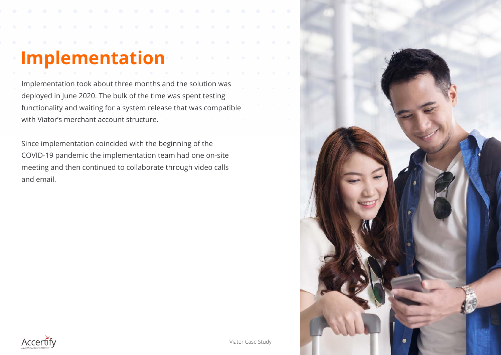# **Implementation**

Implementation took about three months and the solution was deployed in June 2020. The bulk of the time was spent testing functionality and waiting for a system release that was compatible with Viator's merchant account structure.

Since implementation coincided with the beginning of the COVID-19 pandemic the implementation team had one on-site meeting and then continued to collaborate through video calls and email.



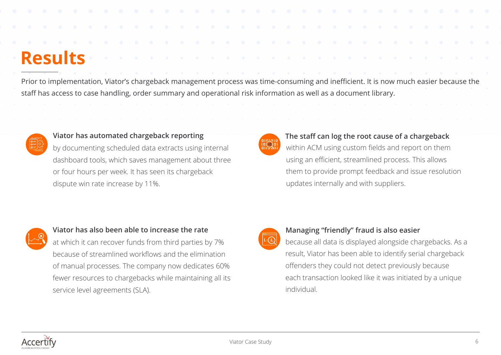### **Results**

Prior to implementation, Viator's chargeback management process was time-consuming and inefficient. It is now much easier because the staff has access to case handling, order summary and operational risk information as well as a document library.



#### **Viator has automated chargeback reporting**

by documenting scheduled data extracts using internal dashboard tools, which saves management about three or four hours per week. It has seen its chargeback dispute win rate increase by 11%.



#### **The staff can log the root cause of a chargeback**

within ACM using custom fields and report on them using an efficient, streamlined process. This allows them to provide prompt feedback and issue resolution updates internally and with suppliers.



#### **Viator has also been able to increase the rate**

at which it can recover funds from third parties by 7% because of streamlined workflows and the elimination of manual processes. The company now dedicates 60% fewer resources to chargebacks while maintaining all its service level agreements (SLA).



#### **Managing "friendly" fraud is also easier**

because all data is displayed alongside chargebacks. As a result, Viator has been able to identify serial chargeback offenders they could not detect previously because each transaction looked like it was initiated by a unique individual.

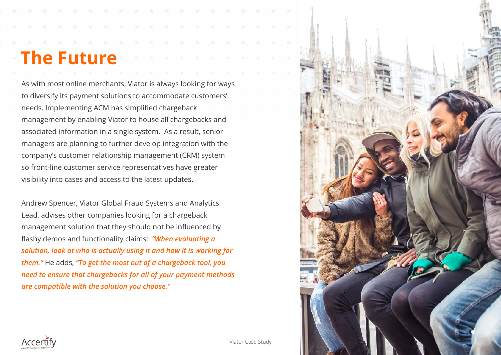### **The Future**

As with most online merchants, Viator is always looking for ways to diversify its payment solutions to accommodate customers' needs. Implementing ACM has simplified chargeback management by enabling Viator to house all chargebacks and associated information in a single system. As a result, senior managers are planning to further develop integration with the company's customer relationship management (CRM) system so front-line customer service representatives have greater visibility into cases and access to the latest updates.

Andrew Spencer, Viator Global Fraud Systems and Analytics Lead, advises other companies looking for a chargeback management solution that they should not be influenced by flashy demos and functionality claims: *"When evaluating a solution, look at who is actually using it and how it is working for them."* He adds, *"To get the most out of a chargeback tool, you need to ensure that chargebacks for all of your payment methods are compatible with the solution you choose."*



![](_page_6_Picture_4.jpeg)